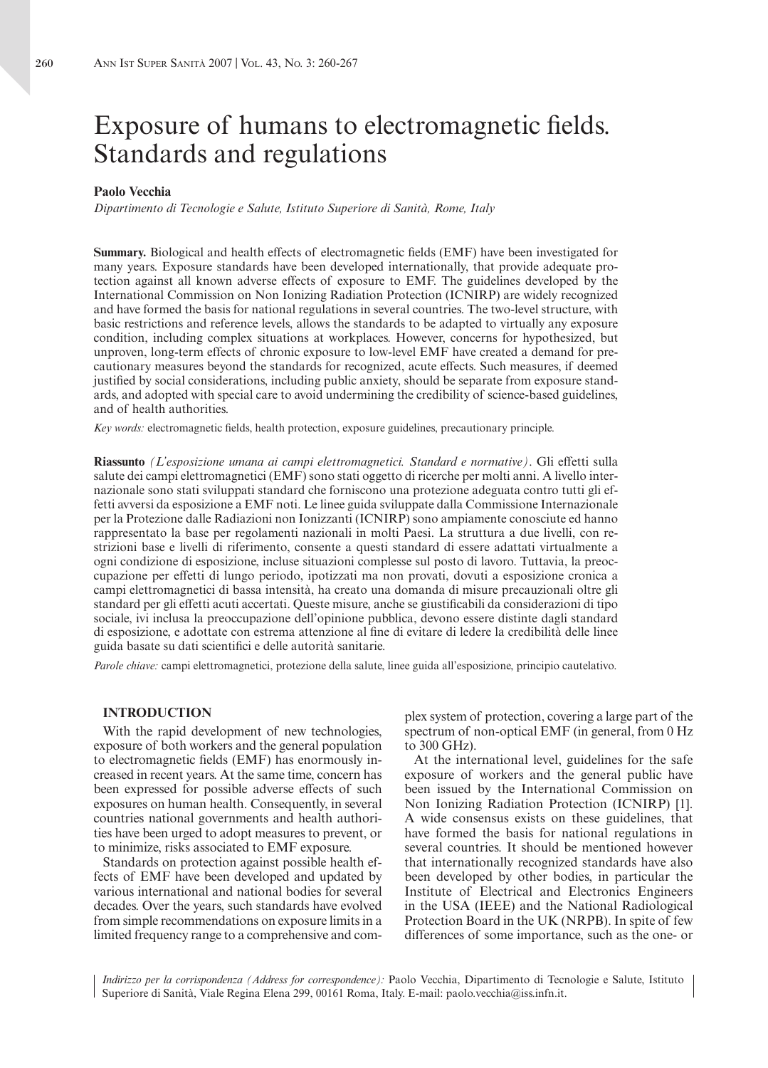# Exposure of humans to electromagnetic fields. Standards and regulations

#### **Paolo Vecchia**

*Dipartimento di Tecnologie e Salute, Istituto Superiore di Sanità, Rome, Italy*

**Summary.** Biological and health effects of electromagnetic fields (EMF) have been investigated for many years. Exposure standards have been developed internationally, that provide adequate protection against all known adverse effects of exposure to EMF. The guidelines developed by the International Commission on Non Ionizing Radiation Protection (ICNIRP) are widely recognized and have formed the basis for national regulations in several countries. The two-level structure, with basic restrictions and reference levels, allows the standards to be adapted to virtually any exposure condition, including complex situations at workplaces. However, concerns for hypothesized, but unproven, long-term effects of chronic exposure to low-level EMF have created a demand for precautionary measures beyond the standards for recognized, acute effects. Such measures, if deemed justified by social considerations, including public anxiety, should be separate from exposure standards, and adopted with special care to avoid undermining the credibility of science-based guidelines, and of health authorities.

*Key words:* electromagnetic fields, health protection, exposure guidelines, precautionary principle.

**Riassunto** *(L'esposizione umana ai campi elettromagnetici. Standard e normative)*. Gli effetti sulla salute dei campi elettromagnetici (EMF) sono stati oggetto di ricerche per molti anni. A livello internazionale sono stati sviluppati standard che forniscono una protezione adeguata contro tutti gli effetti avversi da esposizione a EMF noti. Le linee guida sviluppate dalla Commissione Internazionale per la Protezione dalle Radiazioni non Ionizzanti (ICNIRP) sono ampiamente conosciute ed hanno rappresentato la base per regolamenti nazionali in molti Paesi. La struttura a due livelli, con restrizioni base e livelli di riferimento, consente a questi standard di essere adattati virtualmente a ogni condizione di esposizione, incluse situazioni complesse sul posto di lavoro. Tuttavia, la preoccupazione per effetti di lungo periodo, ipotizzati ma non provati, dovuti a esposizione cronica a campi elettromagnetici di bassa intensità, ha creato una domanda di misure precauzionali oltre gli standard per gli effetti acuti accertati. Queste misure, anche se giustificabili da considerazioni di tipo sociale, ivi inclusa la preoccupazione dell'opinione pubblica, devono essere distinte dagli standard di esposizione, e adottate con estrema attenzione al fine di evitare di ledere la credibilità delle linee guida basate su dati scientifici e delle autorità sanitarie.

*Parole chiave:* campi elettromagnetici, protezione della salute, linee guida all'esposizione, principio cautelativo.

#### **INTRODUCTION**

With the rapid development of new technologies, exposure of both workers and the general population to electromagnetic fields (EMF) has enormously increased in recent years. At the same time, concern has been expressed for possible adverse effects of such exposures on human health. Consequently, in several countries national governments and health authorities have been urged to adopt measures to prevent, or to minimize, risks associated to EMF exposure.

Standards on protection against possible health effects of EMF have been developed and updated by various international and national bodies for several decades. Over the years, such standards have evolved from simple recommendations on exposure limits in a limited frequency range to a comprehensive and complex system of protection, covering a large part of the spectrum of non-optical EMF (in general, from 0 Hz to 300 GHz).

At the international level, guidelines for the safe exposure of workers and the general public have been issued by the International Commission on Non Ionizing Radiation Protection (ICNIRP) [1]. A wide consensus exists on these guidelines, that have formed the basis for national regulations in several countries. It should be mentioned however that internationally recognized standards have also been developed by other bodies, in particular the Institute of Electrical and Electronics Engineers in the USA (IEEE) and the National Radiological Protection Board in the UK (NRPB). In spite of few differences of some importance, such as the one- or

*Indirizzo per la corrispondenza (Address for correspondence):* Paolo Vecchia, Dipartimento di Tecnologie e Salute, Istituto Superiore di Sanità, Viale Regina Elena 299, 00161 Roma, Italy. E-mail: paolo.vecchia@iss.infn.it.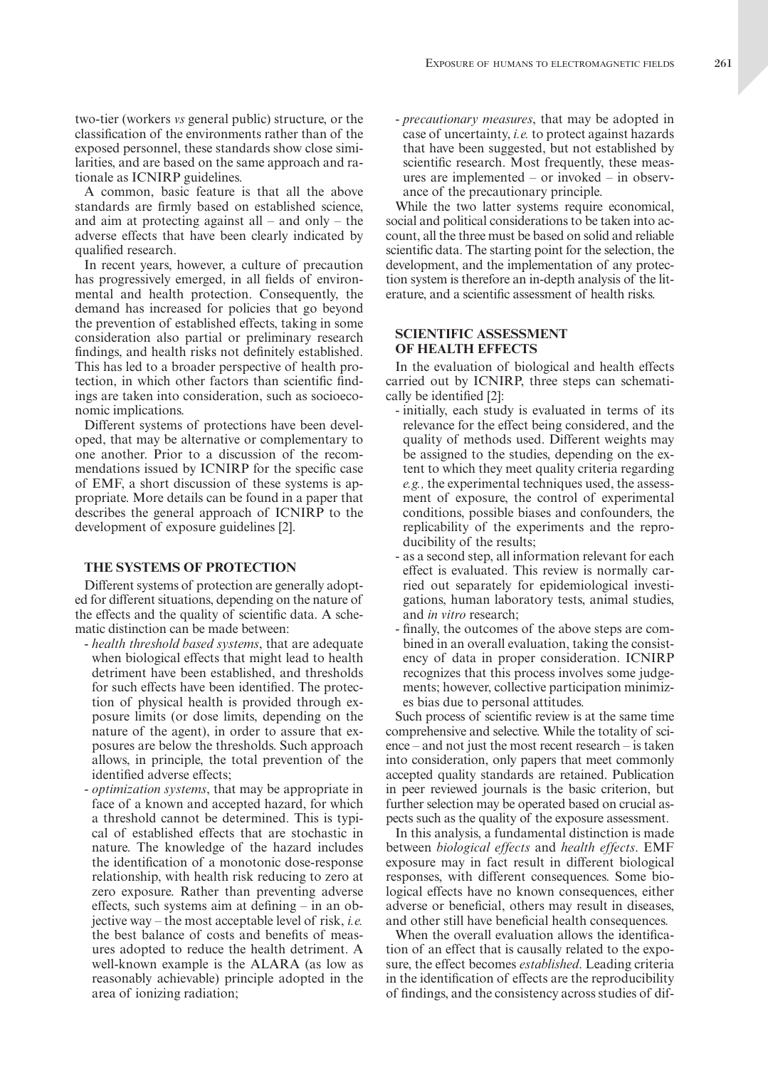A common, basic feature is that all the above standards are firmly based on established science, and aim at protecting against all – and only – the adverse effects that have been clearly indicated by qualified research.

In recent years, however, a culture of precaution has progressively emerged, in all fields of environmental and health protection. Consequently, the demand has increased for policies that go beyond the prevention of established effects, taking in some consideration also partial or preliminary research findings, and health risks not definitely established. This has led to a broader perspective of health protection, in which other factors than scientific findings are taken into consideration, such as socioeconomic implications.

Different systems of protections have been developed, that may be alternative or complementary to one another. Prior to a discussion of the recommendations issued by ICNIRP for the specific case of EMF, a short discussion of these systems is appropriate. More details can be found in a paper that describes the general approach of ICNIRP to the development of exposure guidelines [2].

#### **THE SYSTEMS OF PROTECTION**

Different systems of protection are generally adopted for different situations, depending on the nature of the effects and the quality of scientific data. A schematic distinction can be made between:

- *health threshold based systems*, that are adequate when biological effects that might lead to health detriment have been established, and thresholds for such effects have been identified. The protection of physical health is provided through exposure limits (or dose limits, depending on the nature of the agent), in order to assure that exposures are below the thresholds. Such approach allows, in principle, the total prevention of the identified adverse effects;
- *optimization systems*, that may be appropriate in face of a known and accepted hazard, for which a threshold cannot be determined. This is typical of established effects that are stochastic in nature. The knowledge of the hazard includes the identification of a monotonic dose-response relationship, with health risk reducing to zero at zero exposure. Rather than preventing adverse effects, such systems aim at defining – in an objective way – the most acceptable level of risk, *i.e.* the best balance of costs and benefits of measures adopted to reduce the health detriment. A well-known example is the ALARA (as low as reasonably achievable) principle adopted in the area of ionizing radiation;

ance of the precautionary principle. While the two latter systems require economical, social and political considerations to be taken into account, all the three must be based on solid and reliable scientific data. The starting point for the selection, the development, and the implementation of any protection system is therefore an in-depth analysis of the literature, and a scientific assessment of health risks.

## **SCIENTIFIC ASSESSMENT OF HEALTH EFFECTS**

In the evaluation of biological and health effects carried out by ICNIRP, three steps can schematically be identified [2]:

- initially, each study is evaluated in terms of its relevance for the effect being considered, and the quality of methods used. Different weights may be assigned to the studies, depending on the extent to which they meet quality criteria regarding *e.g.,* the experimental techniques used, the assessment of exposure, the control of experimental conditions, possible biases and confounders, the replicability of the experiments and the reproducibility of the results;
- as a second step, all information relevant for each effect is evaluated. This review is normally carried out separately for epidemiological investigations, human laboratory tests, animal studies, and *in vitro* research;
- finally, the outcomes of the above steps are combined in an overall evaluation, taking the consistency of data in proper consideration. ICNIRP recognizes that this process involves some judgements; however, collective participation minimizes bias due to personal attitudes.

Such process of scientific review is at the same time comprehensive and selective. While the totality of science – and not just the most recent research – is taken into consideration, only papers that meet commonly accepted quality standards are retained. Publication in peer reviewed journals is the basic criterion, but further selection may be operated based on crucial aspects such as the quality of the exposure assessment.

In this analysis, a fundamental distinction is made between *biological effects* and *health effects*. EMF exposure may in fact result in different biological responses, with different consequences. Some biological effects have no known consequences, either adverse or beneficial, others may result in diseases, and other still have beneficial health consequences.

When the overall evaluation allows the identification of an effect that is causally related to the exposure, the effect becomes *established*. Leading criteria in the identification of effects are the reproducibility of findings, and the consistency across studies of dif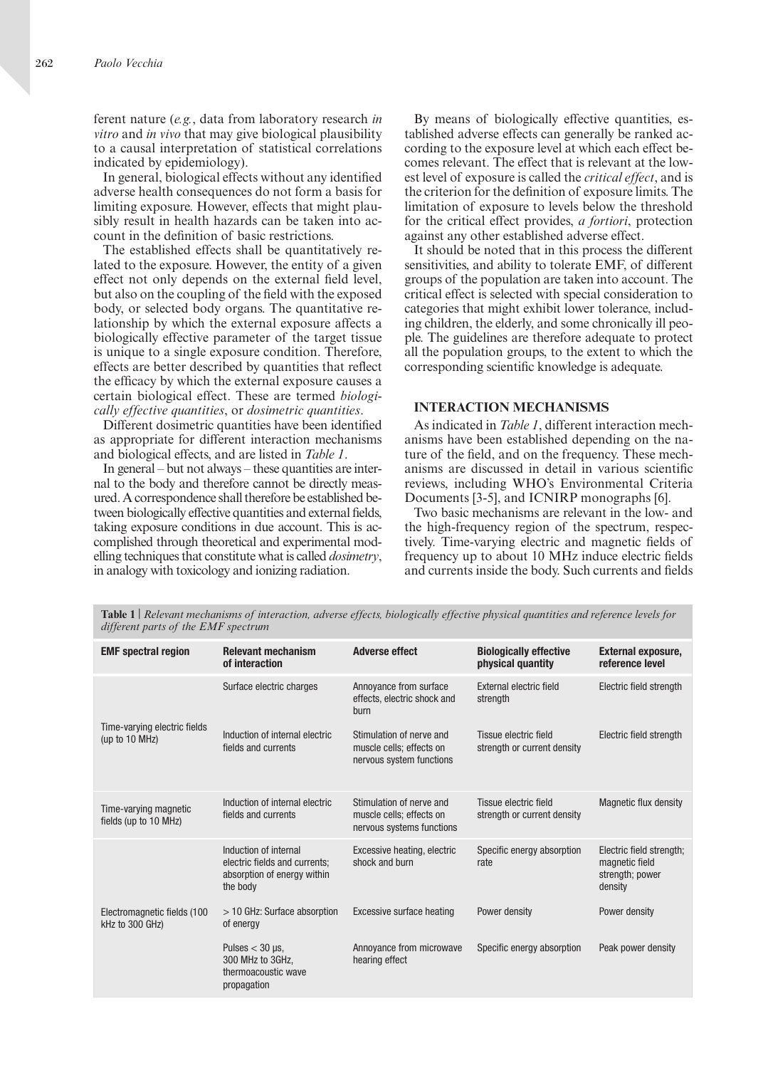ferent nature (*e.g.*, data from laboratory research *in vitro* and *in vivo* that may give biological plausibility to a causal interpretation of statistical correlations indicated by epidemiology).

In general, biological effects without any identified adverse health consequences do not form a basis for limiting exposure. However, effects that might plausibly result in health hazards can be taken into account in the definition of basic restrictions.

The established effects shall be quantitatively related to the exposure. However, the entity of a given effect not only depends on the external field level, but also on the coupling of the field with the exposed body, or selected body organs. The quantitative relationship by which the external exposure affects a biologically effective parameter of the target tissue is unique to a single exposure condition. Therefore, effects are better described by quantities that reflect the efficacy by which the external exposure causes a certain biological effect. These are termed *biologically effective quantities*, or *dosimetric quantities*.

Different dosimetric quantities have been identified as appropriate for different interaction mechanisms and biological effects, and are listed in *Table 1*.

In general – but not always – these quantities are internal to the body and therefore cannot be directly measured. A correspondence shall therefore be established between biologically effective quantities and external fields, taking exposure conditions in due account. This is accomplished through theoretical and experimental modelling techniques that constitute what is called *dosimetry*, in analogy with toxicology and ionizing radiation.

By means of biologically effective quantities, established adverse effects can generally be ranked according to the exposure level at which each effect becomes relevant. The effect that is relevant at the lowest level of exposure is called the *critical effect*, and is the criterion for the definition of exposure limits. The limitation of exposure to levels below the threshold for the critical effect provides, *a fortiori*, protection against any other established adverse effect.

It should be noted that in this process the different sensitivities, and ability to tolerate EMF, of different groups of the population are taken into account. The critical effect is selected with special consideration to categories that might exhibit lower tolerance, including children, the elderly, and some chronically ill people. The guidelines are therefore adequate to protect all the population groups, to the extent to which the corresponding scientific knowledge is adequate.

#### **INTERACTION MECHANISMS**

As indicated in *Table 1*, different interaction mechanisms have been established depending on the nature of the field, and on the frequency. These mechanisms are discussed in detail in various scientific reviews, including WHO's Environmental Criteria Documents [3-5], and ICNIRP monographs [6].

Two basic mechanisms are relevant in the low- and the high-frequency region of the spectrum, respectively. Time-varying electric and magnetic fields of frequency up to about 10 MHz induce electric fields and currents inside the body. Such currents and fields

| <b>EMF</b> spectral region                        | <b>Relevant mechanism</b><br>of interaction                                                       | <b>Adverse effect</b>                                                             | <b>Biologically effective</b><br>physical quantity   | <b>External exposure,</b><br>reference level                             |
|---------------------------------------------------|---------------------------------------------------------------------------------------------------|-----------------------------------------------------------------------------------|------------------------------------------------------|--------------------------------------------------------------------------|
| Time-varying electric fields<br>(up to 10 $MHz$ ) | Surface electric charges                                                                          | Annoyance from surface<br>effects, electric shock and<br>burn                     | External electric field<br>strength                  | Electric field strength                                                  |
|                                                   | Induction of internal electric<br>fields and currents                                             | Stimulation of nerve and<br>muscle cells; effects on<br>nervous system functions  | Tissue electric field<br>strength or current density | Electric field strength                                                  |
| Time-varying magnetic<br>fields (up to 10 MHz)    | Induction of internal electric<br>fields and currents                                             | Stimulation of nerve and<br>muscle cells; effects on<br>nervous systems functions | Tissue electric field<br>strength or current density | Magnetic flux density                                                    |
|                                                   | Induction of internal<br>electric fields and currents;<br>absorption of energy within<br>the body | Excessive heating, electric<br>shock and burn                                     | Specific energy absorption<br>rate                   | Electric field strength;<br>magnetic field<br>strength; power<br>density |
| Electromagnetic fields (100<br>kHz to 300 GHz)    | $>$ 10 GHz: Surface absorption<br>of energy                                                       | <b>Excessive surface heating</b>                                                  | Power density                                        | Power density                                                            |
|                                                   | Pulses $<$ 30 µs,<br>300 MHz to 3GHz.<br>thermoacoustic wave<br>propagation                       | Annoyance from microwave<br>hearing effect                                        | Specific energy absorption                           | Peak power density                                                       |

**Table 1** | *Relevant mechanisms of interaction, adverse effects, biologically effective physical quantities and reference levels for different parts of the EMF spectrum*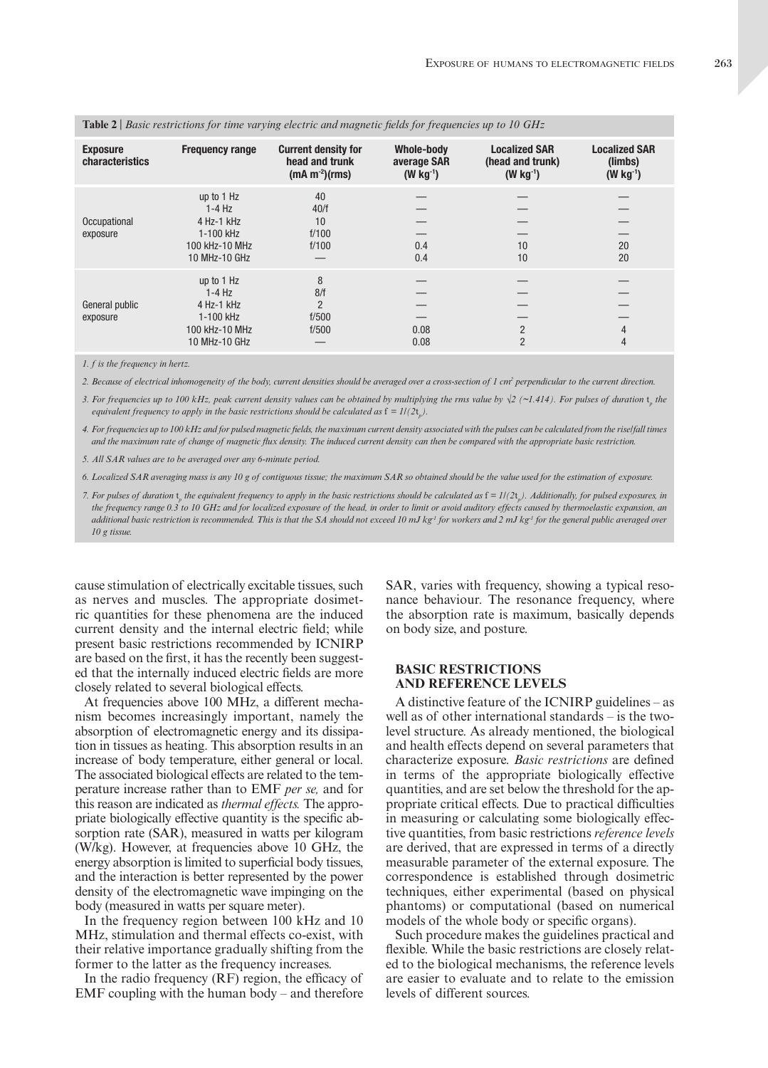| <b>Exposure</b><br>characteristics | <b>Frequency range</b>                                                               | <b>Current density for</b><br>head and trunk<br>$(mA m-2)(rms)$ | <b>Whole-body</b><br>average SAR<br>$(W kg-1)$ | <b>Localized SAR</b><br>(head and trunk)<br>$(W kg-1)$ | <b>Localized SAR</b><br>(limbs)<br>$(W kg-1)$ |
|------------------------------------|--------------------------------------------------------------------------------------|-----------------------------------------------------------------|------------------------------------------------|--------------------------------------------------------|-----------------------------------------------|
| Occupational<br>exposure           | up to 1 Hz<br>$1-4$ Hz<br>4 Hz-1 kHz<br>1-100 kHz<br>100 kHz-10 MHz<br>10 MHz-10 GHz | 40<br>40/f<br>10<br>f/100<br>f/100                              | 0.4<br>0.4                                     | 10<br>10                                               | 20<br>20                                      |
| General public<br>exposure         | up to 1 Hz<br>$1-4$ Hz<br>4 Hz-1 kHz<br>1-100 kHz<br>100 kHz-10 MHz<br>10 MHz-10 GHz | 8<br>8/f<br>$\overline{2}$<br>f/500<br>f/500                    | 0.08<br>0.08                                   | $\overline{2}$<br>$\overline{2}$                       | 4<br>4                                        |

**Table 2** | *Basic restrictions for time varying electric and magnetic fields for frequencies up to 10 GHz*

*1. f is the frequency in hertz.*

*2. Because of electrical inhomogeneity of the body, current densities should be averaged over a cross-section of 1 cm2 perpendicular to the current direction.*

*3. For frequencies up to 100 kHz, peak current density values can be obtained by multiplying the rms value by √2 (~1.414). For pulses of duration*  $t$ *<sub>p</sub> the equivalent frequency to apply in the basic restrictions should be calculated as*  $f = I/(2t_p)$ .

*4. For frequencies up to 100 kHz and for pulsed magnetic fields, the maximum current density associated with the pulses can be calculated from the rise/fall times and the maximum rate of change of magnetic flux density. The induced current density can then be compared with the appropriate basic restriction.*

*5. All SAR values are to be averaged over any 6-minute period.*

*6. Localized SAR averaging mass is any 10 g of contiguous tissue; the maximum SAR so obtained should be the value used for the estimation of exposure.*

*7. For pulses of duration*  $t_{\rm s}$  *the equivalent frequency to apply in the basic restrictions should be calculated as*  $f = 1/(2t_{\rm s})$ *. Additionally, for pulsed exposures, in particular particular c<sub>p</sub>* in equivalently requency to apply in the basic restrictions should be calculated as  $Y = \frac{1}{2} \left( \frac{1}{2} \epsilon_p \right)$ . The model is the prequency range 0.3 to 10 GHz and for localized exposure of the *additional basic restriction is recommended. This is that the SA should not exceed 10 mJ kg-1 for workers and 2 mJ kg-1 for the general public averaged over 10 g tissue.*

cause stimulation of electrically excitable tissues, such as nerves and muscles. The appropriate dosimetric quantities for these phenomena are the induced current density and the internal electric field; while present basic restrictions recommended by ICNIRP are based on the first, it has the recently been suggested that the internally induced electric fields are more closely related to several biological effects.

At frequencies above 100 MHz, a different mechanism becomes increasingly important, namely the absorption of electromagnetic energy and its dissipation in tissues as heating. This absorption results in an increase of body temperature, either general or local. The associated biological effects are related to the temperature increase rather than to EMF *per se,* and for this reason are indicated as *thermal effects.* The appropriate biologically effective quantity is the specific absorption rate (SAR), measured in watts per kilogram (W/kg). However, at frequencies above 10 GHz, the energy absorption is limited to superficial body tissues, and the interaction is better represented by the power density of the electromagnetic wave impinging on the body (measured in watts per square meter).

In the frequency region between 100 kHz and 10 MHz, stimulation and thermal effects co-exist, with their relative importance gradually shifting from the former to the latter as the frequency increases.

In the radio frequency (RF) region, the efficacy of EMF coupling with the human body – and therefore SAR, varies with frequency, showing a typical resonance behaviour. The resonance frequency, where the absorption rate is maximum, basically depends on body size, and posture.

## **BASIC RESTRICTIONS AND REFERENCE LEVELS**

A distinctive feature of the ICNIRP guidelines – as well as of other international standards – is the twolevel structure. As already mentioned, the biological and health effects depend on several parameters that characterize exposure. *Basic restrictions* are defined in terms of the appropriate biologically effective quantities, and are set below the threshold for the appropriate critical effects. Due to practical difficulties in measuring or calculating some biologically effective quantities, from basic restrictions *reference levels* are derived, that are expressed in terms of a directly measurable parameter of the external exposure. The correspondence is established through dosimetric techniques, either experimental (based on physical phantoms) or computational (based on numerical models of the whole body or specific organs).

Such procedure makes the guidelines practical and flexible. While the basic restrictions are closely related to the biological mechanisms, the reference levels are easier to evaluate and to relate to the emission levels of different sources.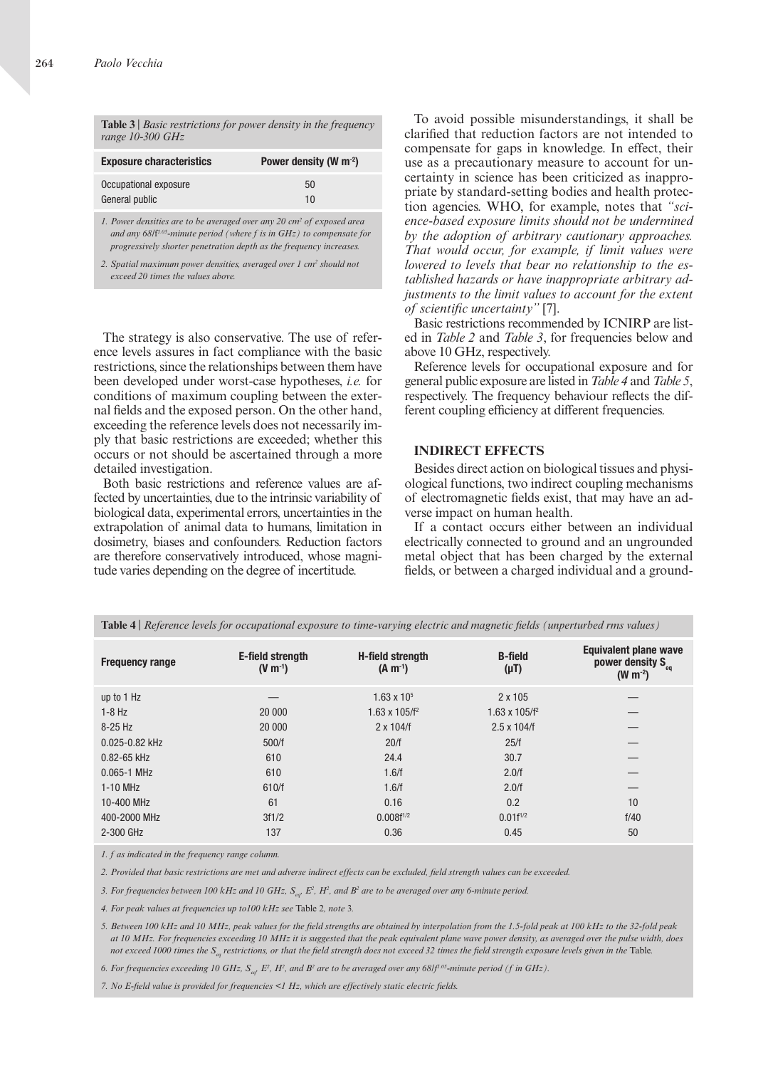| Table $3$   Basic restrictions for power density in the frequency<br>range $10-300$ GHz |                             |  |  |
|-----------------------------------------------------------------------------------------|-----------------------------|--|--|
| <b>Exposure characteristics</b>                                                         | Power density (W $m^{-2}$ ) |  |  |
| Occupational exposure<br>General public                                                 | 50<br>10                    |  |  |

*1. Power densities are to be averaged over any 20 cm2 of exposed area and any 68/*f *1.05-minute period (where f is in GHz) to compensate for progressively shorter penetration depth as the frequency increases.*

2. Spatial maximum power densities, averaged over 1 cm<sup>2</sup> should not *exceed 20 times the values above.*

The strategy is also conservative. The use of reference levels assures in fact compliance with the basic restrictions, since the relationships between them have been developed under worst-case hypotheses, *i.e.* for conditions of maximum coupling between the external fields and the exposed person. On the other hand, exceeding the reference levels does not necessarily imply that basic restrictions are exceeded; whether this occurs or not should be ascertained through a more detailed investigation.

Both basic restrictions and reference values are affected by uncertainties, due to the intrinsic variability of biological data, experimental errors, uncertainties in the extrapolation of animal data to humans, limitation in dosimetry, biases and confounders. Reduction factors are therefore conservatively introduced, whose magnitude varies depending on the degree of incertitude.

To avoid possible misunderstandings, it shall be clarified that reduction factors are not intended to compensate for gaps in knowledge. In effect, their use as a precautionary measure to account for uncertainty in science has been criticized as inappropriate by standard-setting bodies and health protection agencies. WHO, for example, notes that *"science-based exposure limits should not be undermined by the adoption of arbitrary cautionary approaches. That would occur, for example, if limit values were lowered to levels that bear no relationship to the established hazards or have inappropriate arbitrary adjustments to the limit values to account for the extent of scientific uncertainty"* [7].

Basic restrictions recommended by ICNIRP are listed in *Table 2* and *Table 3*, for frequencies below and above 10 GHz, respectively.

Reference levels for occupational exposure and for general public exposure are listed in *Table 4* and *Table 5*, respectively. The frequency behaviour reflects the different coupling efficiency at different frequencies.

### **INDIRECT EFFECTS**

Besides direct action on biological tissues and physiological functions, two indirect coupling mechanisms of electromagnetic fields exist, that may have an adverse impact on human health.

If a contact occurs either between an individual electrically connected to ground and an ungrounded metal object that has been charged by the external fields, or between a charged individual and a ground-

| <b>Frequency range</b> | E-field strength<br>$(V m^{-1})$ | <b>H-field strength</b><br>$(A m^{-1})$ | <b>B-field</b><br>$(\mu T)$ | Equivalent plane wave<br>power density S <sub>eq</sub><br>$(W m^{-2})$ |
|------------------------|----------------------------------|-----------------------------------------|-----------------------------|------------------------------------------------------------------------|
| up to 1 Hz             |                                  | $1.63 \times 10^{5}$                    | 2 x 105                     |                                                                        |
| $1-8$ Hz               | 20 000                           | 1.63 x 105/f <sup>2</sup>               | 1.63 x 105/f <sup>2</sup>   | —                                                                      |
| $8-25$ Hz              | 20 000                           | $2 \times 104/f$                        | $2.5 \times 104/f$          |                                                                        |
| 0.025-0.82 kHz         | 500/f                            | 20/f                                    | 25/f                        | __                                                                     |
| 0.82-65 kHz            | 610                              | 24.4                                    | 30.7                        | —                                                                      |
| $0.065 - 1$ MHz        | 610                              | 1.6/f                                   | 2.0/f                       |                                                                        |
| 1-10 MHz               | 610/f                            | 1.6/f                                   | 2.0/f                       | __                                                                     |
| 10-400 MHz             | 61                               | 0.16                                    | 0.2                         | 10                                                                     |
| 400-2000 MHz           | 3f1/2                            | $0.008f^{1/2}$                          | $0.01f^{1/2}$               | f/40                                                                   |
| 2-300 GHz              | 137                              | 0.36                                    | 0.45                        | 50                                                                     |

**Table 4** | *Reference levels for occupational exposure to time-varying electric and magnetic fields (unperturbed rms values)*

*1. f as indicated in the frequency range column.*

*2. Provided that basic restrictions are met and adverse indirect effects can be excluded, field strength values can be exceeded.*

3. For frequencies between 100 kHz and 10 GHz, S<sub>eq</sub>, E<sup>2</sup>, H<sup>2</sup>, and B<sup>2</sup> are to be averaged over any 6-minute period.

*4. For peak values at frequencies up to100 kHz see* Table 2*, note* 3*.*

*5. Between 100 kHz and 10 MHz, peak values for the field strengths are obtained by interpolation from the 1.5-fold peak at 100 kHz to the 32-fold peak at 10 MHz. For frequencies exceeding 10 MHz it is suggested that the peak equivalent plane wave power density, as averaged over the pulse width, does not exceed 1000 times the S<sub>eq</sub> restrictions, or that the field strength does not exceed 32 times the field strength exposure levels given in the Table.* 

6. For frequencies exceeding 10 GHz, S<sub>eq</sub>, E<sup>2</sup>, H<sup>2</sup>, and B<sup>2</sup> are to be averaged over any 68/f<sup>1.05</sup>-minute period (f in GHz).

*7. No E-field value is provided for frequencies <1 Hz, which are effectively static electric fields.*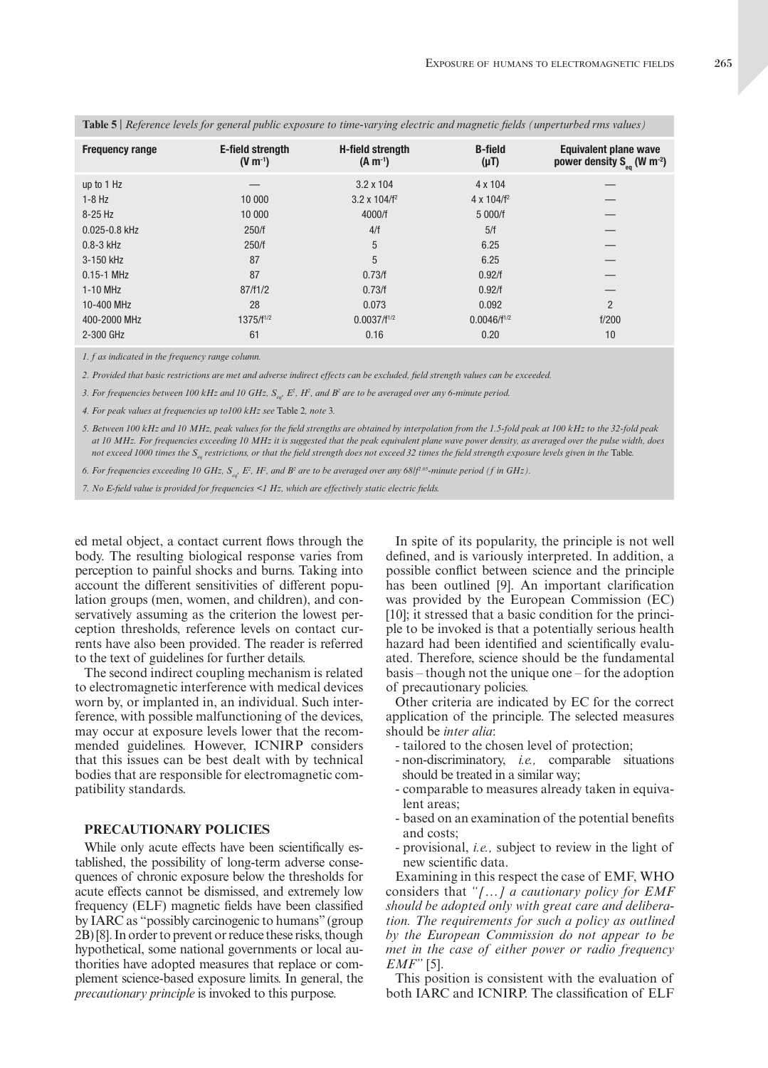| <b>Frequency range</b> | E-field strength<br>$(V m^{-1})$ | <b>H-field strength</b><br>$(A m^{-1})$ | <b>B-field</b><br>$(\mu T)$ | <b>Equivalent plane wave</b><br>power density $S_{eq}$ (W m <sup>-2</sup> ) |
|------------------------|----------------------------------|-----------------------------------------|-----------------------------|-----------------------------------------------------------------------------|
| up to 1 Hz             |                                  | $3.2 \times 104$                        | 4 x 104                     |                                                                             |
| $1-8$ Hz               | 10 000                           | $3.2 \times 104/f^2$                    | $4 \times 104/f^2$          |                                                                             |
| $8-25$ Hz              | 10 000                           | 4000/f                                  | 5 000/f                     |                                                                             |
| $0.025 - 0.8$ kHz      | 250/f                            | 4/f                                     | 5/f                         |                                                                             |
| $0.8 - 3$ kHz          | 250/f                            | 5                                       | 6.25                        |                                                                             |
| 3-150 kHz              | 87                               | 5                                       | 6.25                        |                                                                             |
| $0.15 - 1$ MHz         | 87                               | 0.73/f                                  | 0.92/f                      |                                                                             |
| $1-10$ MHz             | 87/f1/2                          | 0.73/f                                  | 0.92/f                      |                                                                             |
| 10-400 MHz             | 28                               | 0.073                                   | 0.092                       | $\mathfrak{p}$                                                              |
| 400-2000 MHz           | $1375/f^{1/2}$                   | $0.0037/f^{1/2}$                        | $0.0046/f^{1/2}$            | f/200                                                                       |
| 2-300 GHz              | 61                               | 0.16                                    | 0.20                        | 10                                                                          |
|                        |                                  |                                         |                             |                                                                             |

| Table 5   Reference levels for general public exposure to time-varying electric and magnetic fields (unperturbed rms values) |  |  |  |
|------------------------------------------------------------------------------------------------------------------------------|--|--|--|
|------------------------------------------------------------------------------------------------------------------------------|--|--|--|

*1. f as indicated in the frequency range column.*

*2. Provided that basic restrictions are met and adverse indirect effects can be excluded, field strength values can be exceeded.*

3. For frequencies between 100 kHz and 10 GHz, S<sub>eq</sub>, E<sup>2</sup>, H<sup>2</sup>, and B<sup>2</sup> are to be averaged over any 6-minute period.

*4. For peak values at frequencies up to100 kHz see* Table 2*, note* 3*.*

*5. Between 100 kHz and 10 MHz, peak values for the field strengths are obtained by interpolation from the 1.5-fold peak at 100 kHz to the 32-fold peak at 10 MHz. For frequencies exceeding 10 MHz it is suggested that the peak equivalent plane wave power density, as averaged over the pulse width, does not exceed 1000 times the* S<sub>qq</sub> restrictions, or that the field strength does not exceed 32 times the field strength exposure levels given in the Table.

*6. For frequencies exceeding 10 GHz, Seq, E2 , H2 , and B2 are to be averaged over any 68/f1.05-minute period (f in GHz).*

*7. No E-field value is provided for frequencies <1 Hz, which are effectively static electric fields.* 

ed metal object, a contact current flows through the body. The resulting biological response varies from perception to painful shocks and burns. Taking into account the different sensitivities of different population groups (men, women, and children), and conservatively assuming as the criterion the lowest perception thresholds, reference levels on contact currents have also been provided. The reader is referred to the text of guidelines for further details.

The second indirect coupling mechanism is related to electromagnetic interference with medical devices worn by, or implanted in, an individual. Such interference, with possible malfunctioning of the devices, may occur at exposure levels lower that the recommended guidelines. However, ICNIRP considers that this issues can be best dealt with by technical bodies that are responsible for electromagnetic compatibility standards.

## **PRECAUTIONARY POLICIES**

While only acute effects have been scientifically established, the possibility of long-term adverse consequences of chronic exposure below the thresholds for acute effects cannot be dismissed, and extremely low frequency (ELF) magnetic fields have been classified by IARC as "possibly carcinogenic to humans" (group 2B) [8]. In order to prevent or reduce these risks, though hypothetical, some national governments or local authorities have adopted measures that replace or complement science-based exposure limits. In general, the *precautionary principle* is invoked to this purpose.

In spite of its popularity, the principle is not well defined, and is variously interpreted. In addition, a possible conflict between science and the principle has been outlined [9]. An important clarification was provided by the European Commission (EC) [10]; it stressed that a basic condition for the principle to be invoked is that a potentially serious health hazard had been identified and scientifically evaluated. Therefore, science should be the fundamental basis – though not the unique one – for the adoption of precautionary policies.

Other criteria are indicated by EC for the correct application of the principle. The selected measures should be *inter alia*:

- tailored to the chosen level of protection;
- non-discriminatory, *i.e.,* comparable situations should be treated in a similar way;
- comparable to measures already taken in equivalent areas;
- based on an examination of the potential benefits and costs;
- provisional, *i.e.,* subject to review in the light of new scientific data.

Examining in this respect the case of EMF, WHO considers that *"[…] a cautionary policy for EMF should be adopted only with great care and deliberation. The requirements for such a policy as outlined by the European Commission do not appear to be met in the case of either power or radio frequency EMF"* [5].

This position is consistent with the evaluation of both IARC and ICNIRP. The classification of ELF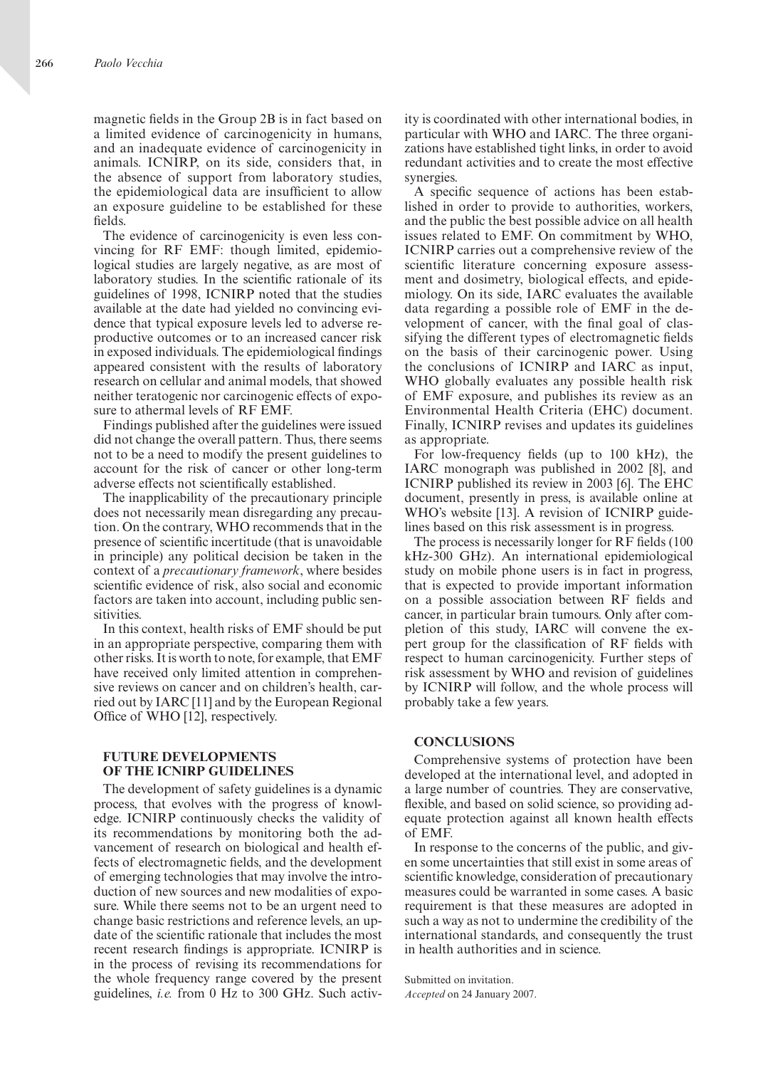magnetic fields in the Group 2B is in fact based on a limited evidence of carcinogenicity in humans, and an inadequate evidence of carcinogenicity in animals. ICNIRP, on its side, considers that, in the absence of support from laboratory studies, the epidemiological data are insufficient to allow an exposure guideline to be established for these fields.

The evidence of carcinogenicity is even less convincing for RF EMF: though limited, epidemiological studies are largely negative, as are most of laboratory studies. In the scientific rationale of its guidelines of 1998, ICNIRP noted that the studies available at the date had yielded no convincing evidence that typical exposure levels led to adverse reproductive outcomes or to an increased cancer risk in exposed individuals. The epidemiological findings appeared consistent with the results of laboratory research on cellular and animal models, that showed neither teratogenic nor carcinogenic effects of exposure to athermal levels of RF EMF.

Findings published after the guidelines were issued did not change the overall pattern. Thus, there seems not to be a need to modify the present guidelines to account for the risk of cancer or other long-term adverse effects not scientifically established.

The inapplicability of the precautionary principle does not necessarily mean disregarding any precaution. On the contrary, WHO recommends that in the presence of scientific incertitude (that is unavoidable in principle) any political decision be taken in the context of a *precautionary framework*, where besides scientific evidence of risk, also social and economic factors are taken into account, including public sensitivities.

In this context, health risks of EMF should be put in an appropriate perspective, comparing them with other risks. It is worth to note, for example, that EMF have received only limited attention in comprehensive reviews on cancer and on children's health, carried out by IARC [11] and by the European Regional Office of WHO [12], respectively.

## **FUTURE DEVELOPMENTS OF THE ICNIRP GUIDELINES**

The development of safety guidelines is a dynamic process, that evolves with the progress of knowledge. ICNIRP continuously checks the validity of its recommendations by monitoring both the advancement of research on biological and health effects of electromagnetic fields, and the development of emerging technologies that may involve the introduction of new sources and new modalities of exposure. While there seems not to be an urgent need to change basic restrictions and reference levels, an update of the scientific rationale that includes the most recent research findings is appropriate. ICNIRP is in the process of revising its recommendations for the whole frequency range covered by the present guidelines, *i.e.* from 0 Hz to 300 GHz. Such activ-

ity is coordinated with other international bodies, in particular with WHO and IARC. The three organizations have established tight links, in order to avoid redundant activities and to create the most effective synergies.

A specific sequence of actions has been established in order to provide to authorities, workers, and the public the best possible advice on all health issues related to EMF. On commitment by WHO, ICNIRP carries out a comprehensive review of the scientific literature concerning exposure assessment and dosimetry, biological effects, and epidemiology. On its side, IARC evaluates the available data regarding a possible role of EMF in the development of cancer, with the final goal of classifying the different types of electromagnetic fields on the basis of their carcinogenic power. Using the conclusions of ICNIRP and IARC as input, WHO globally evaluates any possible health risk of EMF exposure, and publishes its review as an Environmental Health Criteria (EHC) document. Finally, ICNIRP revises and updates its guidelines as appropriate.

For low-frequency fields (up to 100 kHz), the IARC monograph was published in 2002 [8], and ICNIRP published its review in 2003 [6]. The EHC document, presently in press, is available online at WHO's website [13]. A revision of ICNIRP guidelines based on this risk assessment is in progress.

The process is necessarily longer for RF fields (100 kHz-300 GHz). An international epidemiological study on mobile phone users is in fact in progress, that is expected to provide important information on a possible association between RF fields and cancer, in particular brain tumours. Only after completion of this study, IARC will convene the expert group for the classification of RF fields with respect to human carcinogenicity. Further steps of risk assessment by WHO and revision of guidelines by ICNIRP will follow, and the whole process will probably take a few years.

## **CONCLUSIONS**

Comprehensive systems of protection have been developed at the international level, and adopted in a large number of countries. They are conservative, flexible, and based on solid science, so providing adequate protection against all known health effects of EMF.

In response to the concerns of the public, and given some uncertainties that still exist in some areas of scientific knowledge, consideration of precautionary measures could be warranted in some cases. A basic requirement is that these measures are adopted in such a way as not to undermine the credibility of the international standards, and consequently the trust in health authorities and in science.

Submitted on invitation. *Accepted* on 24 January 2007.